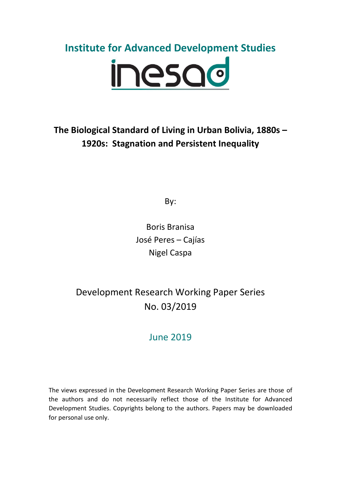# **Institute for Advanced Development Studies** inesad

# **The Biological Standard of Living in Urban Bolivia, 1880s – 1920s: Stagnation and Persistent Inequality**

By:

Boris Branisa José Peres – Cajías Nigel Caspa

Development Research Working Paper Series No. 03/2019

# June 2019

The views expressed in the Development Research Working Paper Series are those of the authors and do not necessarily reflect those of the Institute for Advanced Development Studies. Copyrights belong to the authors. Papers may be downloaded for personal use only.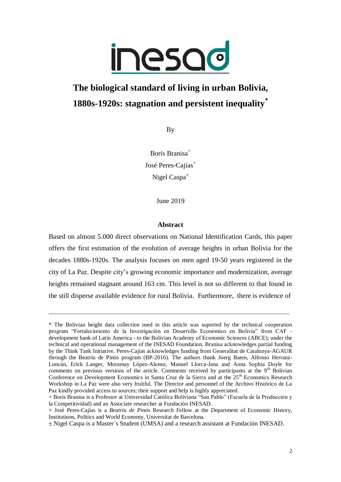

# **The biological standard of living in urban Bolivia, 1880s-1920s: stagnation and persistent inequality\***

By

Boris Branisa<sup>+</sup> José Peres-Cajías $^{\times}$ Nigel Caspa $^{\pm}$ 

June 2019

## **Abstract**

Based on almost 5.000 direct observations on National Identification Cards, this paper offers the first estimation of the evolution of average heights in urban Bolivia for the decades 1880s-1920s. The analysis focuses on men aged 19-50 years registered in the city of La Paz. Despite city's growing economic importance and modernization, average heights remained stagnant around 163 cm. This level is not so different to that found in the still disperse available evidence for rural Bolivia. Furthermore, there is evidence of

\_\_\_\_\_\_\_\_\_\_\_\_\_\_\_\_\_\_\_\_\_\_\_\_\_\_\_\_\_\_\_\_\_\_\_\_\_\_\_\_\_\_\_\_\_\_\_\_\_\_\_\_\_\_\_\_\_\_\_\_\_\_\_\_\_\_\_\_\_\_\_\_\_\_\_\_\_\_\_\_\_\_\_\_

<sup>\*</sup> The Bolivian height data collection used in this article was suported by the technical cooperation program "Fortalecimiento de la Investigación en Desarrollo Económico en Bolivia" from CAF development bank of Latin America - to the Bolivian Academy of Economic Sciences (ABCE); under the technical and operational management of the INESAD Foundation. Branisa acknowledges partial funding by the Think Tank Initiative. Peres-Cajías acknowledges funding from Generalitat de Catalunya-AGAUR through the Beatriu de Pinós program (BP-2016). The authors thank Joerg Baten, Alfonso Herranz-Loncán, Erick Langer, Moramay López-Alonso, Manuel Llorca-Jana and Anna Sophia Doyle for comments on previous versions of the article. Comments received by participants at the  $9<sup>th</sup>$  Bolivian Conference on Development Economics in Santa Cruz de la Sierra and at the 25<sup>th</sup> Economics Research Workshop in La Paz were also very fruitful. The Director and personnel of the Archivo Histórico de La Paz kindly provided access to sources; their support and help is highly appreciated.

<sup>+</sup> Boris Branisa is a Professor at Universidad Católica Boliviana "San Pablo" (Escuela de la Producción y la Competitividad) and an Associate researcher at Fundación INESAD.

<sup>×</sup> José Peres-Cajías is a *Beatriu de Pinós* Research Fellow at the Department of Economic History, Institutions, Politics and World Economy, Universitat de Barcelona.

<sup>±</sup> Nigel Caspa is a Master´s Student (UMSA) and a research assistant at Fundación INESAD.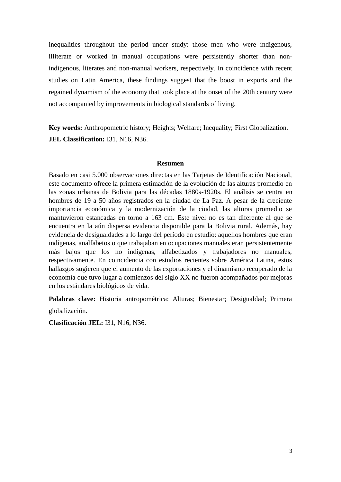inequalities throughout the period under study: those men who were indigenous, illiterate or worked in manual occupations were persistently shorter than nonindigenous, literates and non-manual workers, respectively. In coincidence with recent studies on Latin America, these findings suggest that the boost in exports and the regained dynamism of the economy that took place at the onset of the 20th century were not accompanied by improvements in biological standards of living.

**Key words:** Anthropometric history; Heights; Welfare; Inequality; First Globalization. **JEL Classification: 131, N16, N36.** 

#### **Resumen**

Basado en casi 5.000 observaciones directas en las Tarjetas de Identificación Nacional, este documento ofrece la primera estimación de la evolución de las alturas promedio en las zonas urbanas de Bolivia para las décadas 1880s-1920s. El análisis se centra en hombres de 19 a 50 años registrados en la ciudad de La Paz. A pesar de la creciente importancia económica y la modernización de la ciudad, las alturas promedio se mantuvieron estancadas en torno a 163 cm. Este nivel no es tan diferente al que se encuentra en la aún dispersa evidencia disponible para la Bolivia rural. Además, hay evidencia de desigualdades a lo largo del período en estudio: aquellos hombres que eran indígenas, analfabetos o que trabajaban en ocupaciones manuales eran persistentemente más bajos que los no indígenas, alfabetizados y trabajadores no manuales, respectivamente. En coincidencia con estudios recientes sobre América Latina, estos hallazgos sugieren que el aumento de las exportaciones y el dinamismo recuperado de la economía que tuvo lugar a comienzos del siglo XX no fueron acompañados por mejoras en los estándares biológicos de vida.

**Palabras clave:** Historia antropométrica; Alturas; Bienestar; Desigualdad; Primera

globalización.

**Clasificación JEL:** I31, N16, N36.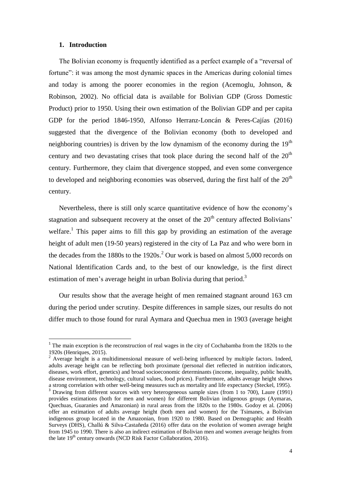#### **1. Introduction**

1

The Bolivian economy is frequently identified as a perfect example of a "reversal of fortune": it was among the most dynamic spaces in the Americas during colonial times and today is among the poorer economies in the region (Acemoglu, Johnson, & Robinson, 2002). No official data is available for Bolivian GDP (Gross Domestic Product) prior to 1950. Using their own estimation of the Bolivian GDP and per capita GDP for the period 1846-1950, Alfonso Herranz-Loncán & Peres-Cajías (2016) suggested that the divergence of the Bolivian economy (both to developed and neighboring countries) is driven by the low dynamism of the economy during the  $19<sup>th</sup>$ century and two devastating crises that took place during the second half of the  $20<sup>th</sup>$ century. Furthermore, they claim that divergence stopped, and even some convergence to developed and neighboring economies was observed, during the first half of the  $20<sup>th</sup>$ century.

Nevertheless, there is still only scarce quantitative evidence of how the economy's stagnation and subsequent recovery at the onset of the  $20<sup>th</sup>$  century affected Bolivians' welfare.<sup>1</sup> This paper aims to fill this gap by providing an estimation of the average height of adult men (19-50 years) registered in the city of La Paz and who were born in the decades from the  $1880s$  to the  $1920s<sup>2</sup>$  Our work is based on almost 5,000 records on National Identification Cards and, to the best of our knowledge, is the first direct estimation of men's average height in urban Bolivia during that period.<sup>3</sup>

Our results show that the average height of men remained stagnant around 163 cm during the period under scrutiny. Despite differences in sample sizes, our results do not differ much to those found for rural Aymara and Quechua men in 1903 (average height

 $1$ <sup>1</sup> The main exception is the reconstruction of real wages in the city of Cochabamba from the 1820s to the 1920s (Henriques, 2015).

<sup>&</sup>lt;sup>2</sup> Average height is a multidimensional measure of well-being influenced by multiple factors. Indeed, adults average height can be reflecting both proximate (personal diet reflected in nutrition indicators, diseases, work effort, genetics) and broad socioeconomic determinants (income, inequality, public health, disease environment, technology, cultural values, food prices). Furthermore, adults average height shows a strong correlation with other well-being measures such as mortality and life expectancy (Steckel, 1995).

<sup>&</sup>lt;sup>3</sup> Drawing from different sources with very heterogeneous sample sizes (from 1 to 700), Laure (1991) provides estimations (both for men and women) for different Bolivian indigenous groups (Aymaras, Quechuas, Guaranies and Amazonian) in rural areas from the 1820s to the 1980s. Godoy et al. (2006) offer an estimation of adults average height (both men and women) for the Tsimanes, a Bolivian indigenous group located in the Amazonian, from 1920 to 1980. Based on Demographic and Health Surveys (DHS), Challú & Silva-Castañeda (2016) offer data on the evolution of women average height from 1945 to 1990. There is also an indirect estimation of Bolivian men and women average heights from the late  $19<sup>th</sup>$  century onwards (NCD Risk Factor Collaboration, 2016).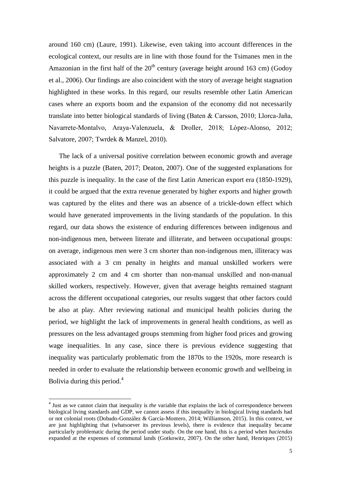around 160 cm) (Laure, 1991). Likewise, even taking into account differences in the ecological context, our results are in line with those found for the Tsimanes men in the Amazonian in the first half of the  $20<sup>th</sup>$  century (average height around 163 cm) (Godoy et al., 2006). Our findings are also coincident with the story of average height stagnation highlighted in these works. In this regard, our results resemble other Latin American cases where an exports boom and the expansion of the economy did not necessarily translate into better biological standards of living (Baten & Carsson, 2010; Llorca-Jaña, Navarrete-Montalvo, Araya-Valenzuela, & Droller, 2018; López-Alonso, 2012; Salvatore, 2007; Twrdek & Manzel, 2010).

The lack of a universal positive correlation between economic growth and average heights is a puzzle (Baten, 2017; Deaton, 2007). One of the suggested explanations for this puzzle is inequality. In the case of the first Latin American export era (1850-1929), it could be argued that the extra revenue generated by higher exports and higher growth was captured by the elites and there was an absence of a trickle-down effect which would have generated improvements in the living standards of the population. In this regard, our data shows the existence of enduring differences between indigenous and non-indigenous men, between literate and illiterate, and between occupational groups: on average, indigenous men were 3 cm shorter than non-indigenous men, illiteracy was associated with a 3 cm penalty in heights and manual unskilled workers were approximately 2 cm and 4 cm shorter than non-manual unskilled and non-manual skilled workers, respectively. However, given that average heights remained stagnant across the different occupational categories, our results suggest that other factors could be also at play. After reviewing national and municipal health policies during the period, we highlight the lack of improvements in general health conditions, as well as pressures on the less advantaged groups stemming from higher food prices and growing wage inequalities. In any case, since there is previous evidence suggesting that inequality was particularly problematic from the 1870s to the 1920s, more research is needed in order to evaluate the relationship between economic growth and wellbeing in Bolivia during this period. $4$ 

 $\overline{a}$ 

<sup>&</sup>lt;sup>4</sup> Just as we cannot claim that inequality is *the* variable that explains the lack of correspondence between biological living standards and GDP, we cannot assess if this inequality in biological living standards had or not colonial roots (Dobado-González & García-Montero, 2014; Williamson, 2015). In this context, we are just highlighting that (whatsoever its previous levels), there is evidence that inequality became particularly problematic during the period under study. On the one hand, this is a period when *haciendas* expanded at the expenses of communal lands (Gotkowitz, 2007). On the other hand, Henriques (2015)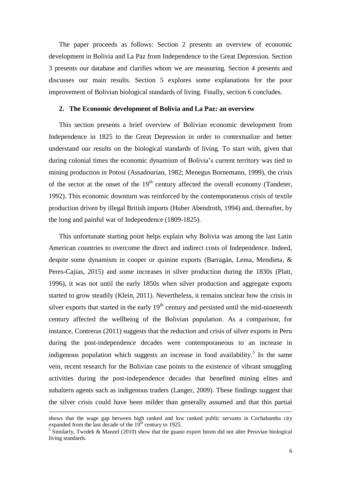The paper proceeds as follows: Section 2 presents an overview of economic development in Bolivia and La Paz from Independence to the Great Depression. Section 3 presents our database and clarifies whom we are measuring. Section 4 presents and discusses our main results. Section 5 explores some explanations for the poor improvement of Bolivian biological standards of living. Finally, section 6 concludes.

#### **2. The Economic development of Bolivia and La Paz: an overview**

This section presents a brief overview of Bolivian economic development from Independence in 1825 to the Great Depression in order to contextualize and better understand our results on the biological standards of living. To start with, given that during colonial times the economic dynamism of Bolivia's current territory was tied to mining production in Potosí (Assadourian, 1982; Menegus Bornemann, 1999), the crisis of the sector at the onset of the  $19<sup>th</sup>$  century affected the overall economy (Tandeter, 1992). This economic downturn was reinforced by the contemporaneous crisis of textile production driven by illegal British imports (Huber Abendroth, 1994) and, thereafter, by the long and painful war of Independence (1809-1825).

This unfortunate starting point helps explain why Bolivia was among the last Latin American countries to overcome the direct and indirect costs of Independence. Indeed, despite some dynamism in cooper or quinine exports (Barragán, Lema, Mendieta, & Peres-Cajías, 2015) and some increases in silver production during the 1830s (Platt, 1996), it was not until the early 1850s when silver production and aggregate exports started to grow steadily (Klein, 2011). Nevertheless, it remains unclear how the crisis in silver exports that started in the early  $19<sup>th</sup>$  century and persisted until the mid-nineteenth century affected the wellbeing of the Bolivian population. As a comparison, for instance, Contreras (2011) suggests that the reduction and crisis of silver exports in Peru during the post-independence decades were contemporaneous to an increase in indigenous population which suggests an increase in food availability.<sup>5</sup> In the same vein, recent research for the Bolivian case points to the existence of vibrant smuggling activities during the post-independence decades that benefited mining elites and subaltern agents such as indigenous traders (Langer, 2009). These findings suggest that the silver crisis could have been milder than generally assumed and that this partial

shows that the wage gap between high ranked and low ranked public servants in Cochabamba city expanded from the last decade of the  $19<sup>th</sup>$  century to 1925.

 $5$  Similarly, Twrdek & Manzel (2010) show that the guano export boom did not alter Peruvian biological living standards.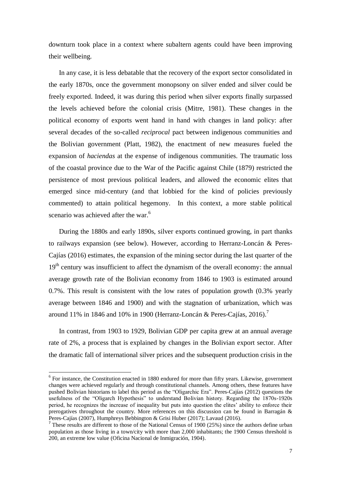downturn took place in a context where subaltern agents could have been improving their wellbeing.

In any case, it is less debatable that the recovery of the export sector consolidated in the early 1870s, once the government monopsony on silver ended and silver could be freely exported. Indeed, it was during this period when silver exports finally surpassed the levels achieved before the colonial crisis (Mitre, 1981). These changes in the political economy of exports went hand in hand with changes in land policy: after several decades of the so-called *reciprocal* pact between indigenous communities and the Bolivian government (Platt, 1982), the enactment of new measures fueled the expansion of *haciendas* at the expense of indigenous communities. The traumatic loss of the coastal province due to the War of the Pacific against Chile (1879) restricted the persistence of most previous political leaders, and allowed the economic elites that emerged since mid-century (and that lobbied for the kind of policies previously commented) to attain political hegemony. In this context, a more stable political scenario was achieved after the war.<sup>6</sup>

During the 1880s and early 1890s, silver exports continued growing, in part thanks to railways expansion (see below). However, according to Herranz-Loncán & Peres-Cajías (2016) estimates, the expansion of the mining sector during the last quarter of the  $19<sup>th</sup>$  century was insufficient to affect the dynamism of the overall economy: the annual average growth rate of the Bolivian economy from 1846 to 1903 is estimated around 0.7%. This result is consistent with the low rates of population growth (0.3% yearly average between 1846 and 1900) and with the stagnation of urbanization, which was around 11% in 1846 and 10% in 1900 (Herranz-Loncán & Peres-Cajías, 2016).<sup>7</sup>

In contrast, from 1903 to 1929, Bolivian GDP per capita grew at an annual average rate of 2%, a process that is explained by changes in the Bolivian export sector. After the dramatic fall of international silver prices and the subsequent production crisis in the

<sup>&</sup>lt;sup>6</sup> For instance, the Constitution enacted in 1880 endured for more than fifty years. Likewise, government changes were achieved regularly and through constitutional channels. Among others, these features have pushed Bolivian historians to label this period as the "Oligarchic Era". Peres-Cajías (2012) questions the usefulness of the "Oligarch Hypothesis" to understand Bolivian history. Regarding the 1870s-1920s period he recognizes the increase of inequality but puts into question the elites' ability to enforce their prerogatives throughout the country. More references on this discussion can be found in Barragán & Peres-Cajías (2007), Humphreys Bebbington & Grisi Huber (2017); Lavaud (2016).

<sup>&</sup>lt;sup>7</sup> These results are different to those of the National Census of 1900 (25%) since the authors define urban population as those living in a town/city with more than 2,000 inhabitants; the 1900 Census threshold is 200, an extreme low value (Oficina Nacional de Inmigración, 1904).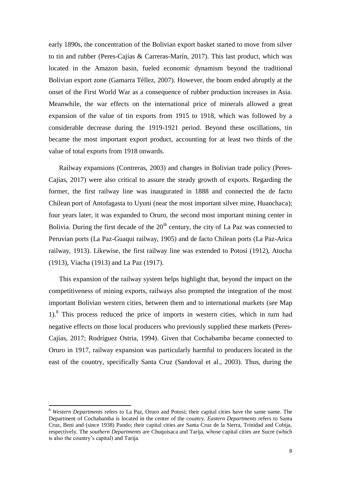early 1890s, the concentration of the Bolivian export basket started to move from silver to tin and rubber (Peres-Cajías & Carreras-Marín, 2017). This last product, which was located in the Amazon basin, fueled economic dynamism beyond the traditional Bolivian export zone (Gamarra Téllez, 2007). However, the boom ended abruptly at the onset of the First World War as a consequence of rubber production increases in Asia. Meanwhile, the war effects on the international price of minerals allowed a great expansion of the value of tin exports from 1915 to 1918, which was followed by a considerable decrease during the 1919-1921 period. Beyond these oscillations, tin became the most important export product, accounting for at least two thirds of the value of total exports from 1918 onwards.

Railway expansions (Contreras, 2003) and changes in Bolivian trade policy (Peres-Cajías, 2017) were also critical to assure the steady growth of exports. Regarding the former, the first railway line was inaugurated in 1888 and connected the de facto Chilean port of Antofagasta to Uyuni (near the most important silver mine, Huanchaca); four years later, it was expanded to Oruro, the second most important mining center in Bolivia. During the first decade of the  $20<sup>th</sup>$  century, the city of La Paz was connected to Peruvian ports (La Paz-Guaqui railway, 1905) and de facto Chilean ports (La Paz-Arica railway, 1913). Likewise, the first railway line was extended to Potosí (1912), Atocha (1913), Viacha (1913) and La Paz (1917).

This expansion of the railway system helps highlight that, beyond the impact on the competitiveness of mining exports, railways also prompted the integration of the most important Bolivian western cities, between them and to international markets (see Map 1). 8 This process reduced the price of imports in western cities, which in turn had negative effects on those local producers who previously supplied these markets (Peres-Cajías, 2017; Rodríguez Ostria, 1994). Given that Cochabamba became connected to Oruro in 1917, railway expansion was particularly harmful to producers located in the east of the country, specifically Santa Cruz (Sandoval et al., 2003). Thus, during the

 $\overline{a}$ 

<sup>8</sup> *Western Departments* refers to La Paz, Oruro and Potosi; their capital cities have the same name. The Department of Cochabamba is located in the center of the country. *Eastern Departments* refers to Santa Cruz, Beni and (since 1938) Pando; their capital cities are Santa Cruz de la Sierra, Trinidad and Cobija, respectively. The *southern Departments* are Chuquisaca and Tarija, whose capital cities are Sucre (which is also the country's capital) and Tarija.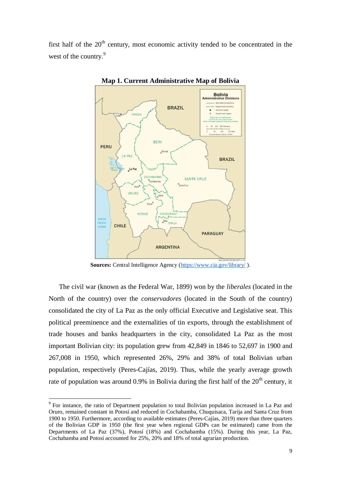first half of the  $20<sup>th</sup>$  century, most economic activity tended to be concentrated in the west of the country.<sup>9</sup>



**Map 1. Current Administrative Map of Bolivia**

Sources: Central Intelligence Agency [\(https://www.cia.gov/library/](https://www.cia.gov/library/)).

The civil war (known as the Federal War, 1899) won by the *liberales* (located in the North of the country) over the *conservadores* (located in the South of the country) consolidated the city of La Paz as the only official Executive and Legislative seat. This political preeminence and the externalities of tin exports, through the establishment of trade houses and banks headquarters in the city, consolidated La Paz as the most important Bolivian city: its population grew from 42,849 in 1846 to 52,697 in 1900 and 267,008 in 1950, which represented 26%, 29% and 38% of total Bolivian urban population, respectively (Peres-Cajías, 2019). Thus, while the yearly average growth rate of population was around 0.9% in Bolivia during the first half of the  $20<sup>th</sup>$  century, it

<sup>&</sup>lt;sup>9</sup> For instance, the ratio of Department population to total Bolivian population increased in La Paz and Oruro, remained constant in Potosí and reduced in Cochabamba, Chuquisaca, Tarija and Santa Cruz from 1900 to 1950. Furthermore, according to available estimates (Peres-Cajías, 2019) more than three quarters of the Bolivian GDP in 1950 (the first year when regional GDPs can be estimated) came from the Departments of La Paz (37%), Potosí (18%) and Cochabamba (15%). During this year, La Paz, Cochabamba and Potosí accounted for 25%, 20% and 18% of total agrarian production.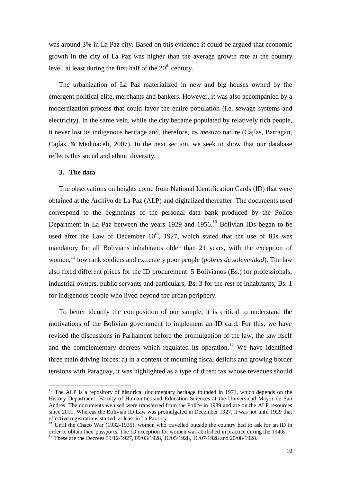was around 3% in La Paz city. Based on this evidence it could be argued that economic growth in the city of La Paz was higher than the average growth rate at the country level, at least during the first half of the  $20<sup>th</sup>$  century.

The urbanization of La Paz materialized in new and big houses owned by the emergent political elite, merchants and bankers. However, it was also accompanied by a modernization process that could favor the entire population (i.e. sewage systems and electricity). In the same vein, while the city became populated by relatively rich people, it never lost its indigenous heritage and, therefore, its *mestizo* nature (Cajías, Barragán, Cajías, & Medinaceli, 2007). In the next section, we seek to show that our database reflects this social and ethnic diversity.

## **3. The data**

1

The observations on heights come from National Identification Cards (ID) that were obtained at the Archivo de La Paz (ALP) and digitalized thereafter. The documents used correspond to the beginnings of the personal data bank produced by the Police Department in La Paz between the years 1929 and 1956.<sup>10</sup> Bolivian IDs began to be used after the Law of December  $10^{th}$ , 1927, which stated that the use of IDs was mandatory for all Bolivians inhabitants older than 21 years, with the exception of women, <sup>11</sup> low rank soldiers and extremely poor people (*pobres de solemnidad*). The law also fixed different prices for the ID procurement: 5 Bolivianos (Bs.) for professionals, industrial owners, public servants and particulars; Bs. 3 for the rest of inhabitants; Bs. 1 for indigenous people who lived beyond the urban periphery.

To better identify the composition of our sample, it is critical to understand the motivations of the Bolivian government to implement an ID card. For this, we have revised the discussions in Parliament before the promulgation of the law, the law itself and the complementary decrees which regulated its operation.<sup>12</sup> We have identified three main driving forces: a) in a context of mounting fiscal deficits and growing border tensions with Paraguay, it was highlighted as a type of direct tax whose revenues should

 $10$  The ALP is a repository of historical documentary heritage founded in 1971, which depends on the History Department, Faculty of Humanities and Education Sciences at the Universidad Mayor de San Andrés. The documents we used were transferred from the Police in 1989 and are on the ALP resources since 2011. Whereas the Bolivian ID Law was promulgated in December 1927, it was not until 1929 that effective registrations started, at least in La Paz city.

<sup>&</sup>lt;sup>11</sup> Until the Chaco War (1932-1935), women who travelled outside the country had to ask for an ID in order to obtain their passports. The ID exception for women was abolished in practice during the 1940s. <sup>12</sup> These are the Decrees 31/12/1927, 09/03/1928, 16/05/1928, 16/07/1928 and 20/08/1928.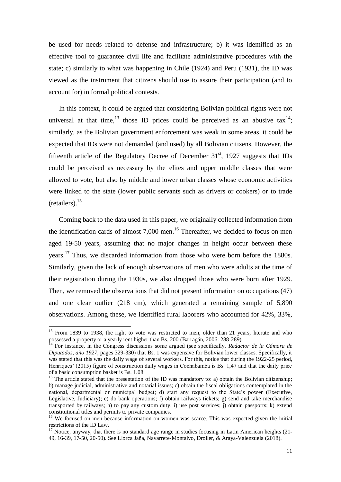be used for needs related to defense and infrastructure; b) it was identified as an effective tool to guarantee civil life and facilitate administrative procedures with the state; c) similarly to what was happening in Chile (1924) and Peru (1931), the ID was viewed as the instrument that citizens should use to assure their participation (and to account for) in formal political contests.

In this context, it could be argued that considering Bolivian political rights were not universal at that time,<sup>13</sup> those ID prices could be perceived as an abusive  $\text{tax}^{14}$ ; similarly, as the Bolivian government enforcement was weak in some areas, it could be expected that IDs were not demanded (and used) by all Bolivian citizens. However, the fifteenth article of the Regulatory Decree of December  $31<sup>st</sup>$ , 1927 suggests that IDs could be perceived as necessary by the elites and upper middle classes that were allowed to vote, but also by middle and lower urban classes whose economic activities were linked to the state (lower public servants such as drivers or cookers) or to trade  $(retailers).$ <sup>15</sup>

Coming back to the data used in this paper, we originally collected information from the identification cards of almost 7,000 men. <sup>16</sup> Thereafter, we decided to focus on men aged 19-50 years, assuming that no major changes in height occur between these years.<sup>17</sup> Thus, we discarded information from those who were born before the 1880s. Similarly, given the lack of enough observations of men who were adults at the time of their registration during the 1930s, we also dropped those who were born after 1929. Then, we removed the observations that did not present information on occupations (47) and one clear outlier (218 cm), which generated a remaining sample of 5,890 observations. Among these, we identified rural laborers who accounted for 42%, 33%,

 $\overline{a}$ 

<sup>&</sup>lt;sup>13</sup> From 1839 to 1938, the right to vote was restricted to men, older than 21 years, literate and who possessed a property or a yearly rent higher than Bs. 200 (Barragán, 2006: 288-289).

<sup>14</sup> For instance, in the Congress discussions some argued (see specifically, *Redactor de la Cámara de Diputados, año 1927*, pages 329-330) that Bs. 1 was expensive for Bolivian lower classes. Specifically, it was stated that this was the daily wage of several workers. For this, notice that during the 1922-25 period, Henriques' (2015) figure of construction daily wages in Cochabamba is Bs. 1,47 and that the daily price of a basic consumption basket is Bs. 1.08.

<sup>&</sup>lt;sup>15</sup> The article stated that the presentation of the ID was mandatory to: a) obtain the Bolivian citizenship; b) manage judicial, administrative and notarial issues; c) obtain the fiscal obligations contemplated in the national departmental or municipal budget; d) start any request to the State's power (Executive, Legislative, Judiciary); e) do bank operations; f) obtain railways tickets; g) send and take merchandise transported by railways; h) to pay any custom duty; i) use post services; j) obtain passports; k) extend constitutional titles and permits to private companies.

<sup>&</sup>lt;sup>16</sup> We focused on men because information on women was scarce. This was expected given the initial restrictions of the ID Law.

<sup>&</sup>lt;sup>17</sup> Notice, anyway, that there is no standard age range in studies focusing in Latin American heights (21-49, 16-39, 17-50, 20-50). See Llorca Jaña, Navarrete-Montalvo, Droller, & Araya-Valenzuela (2018).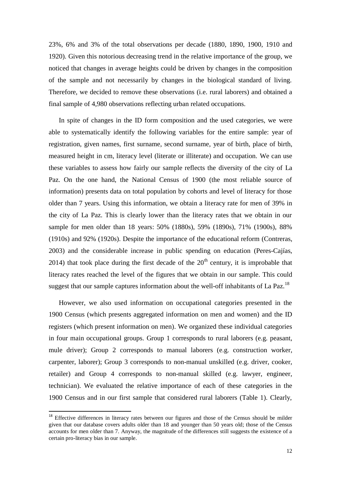23%, 6% and 3% of the total observations per decade (1880, 1890, 1900, 1910 and 1920). Given this notorious decreasing trend in the relative importance of the group, we noticed that changes in average heights could be driven by changes in the composition of the sample and not necessarily by changes in the biological standard of living. Therefore, we decided to remove these observations (i.e. rural laborers) and obtained a final sample of 4,980 observations reflecting urban related occupations.

In spite of changes in the ID form composition and the used categories, we were able to systematically identify the following variables for the entire sample: year of registration, given names, first surname, second surname, year of birth, place of birth, measured height in cm, literacy level (literate or illiterate) and occupation. We can use these variables to assess how fairly our sample reflects the diversity of the city of La Paz. On the one hand, the National Census of 1900 (the most reliable source of information) presents data on total population by cohorts and level of literacy for those older than 7 years. Using this information, we obtain a literacy rate for men of 39% in the city of La Paz. This is clearly lower than the literacy rates that we obtain in our sample for men older than 18 years: 50% (1880s), 59% (1890s), 71% (1900s), 88% (1910s) and 92% (1920s). Despite the importance of the educational reform (Contreras, 2003) and the considerable increase in public spending on education (Peres-Cajías, 2014) that took place during the first decade of the  $20<sup>th</sup>$  century, it is improbable that literacy rates reached the level of the figures that we obtain in our sample. This could suggest that our sample captures information about the well-off inhabitants of La Paz.<sup>18</sup>

However, we also used information on occupational categories presented in the 1900 Census (which presents aggregated information on men and women) and the ID registers (which present information on men). We organized these individual categories in four main occupational groups. Group 1 corresponds to rural laborers (e.g. peasant, mule driver); Group 2 corresponds to manual laborers (e.g. construction worker, carpenter, laborer); Group 3 corresponds to non-manual unskilled (e.g. driver, cooker, retailer) and Group 4 corresponds to non-manual skilled (e.g. lawyer, engineer, technician). We evaluated the relative importance of each of these categories in the 1900 Census and in our first sample that considered rural laborers (Table 1). Clearly,

<sup>&</sup>lt;sup>18</sup> Effective differences in literacy rates between our figures and those of the Census should be milder given that our database covers adults older than 18 and younger than 50 years old; those of the Census accounts for men older than 7. Anyway, the magnitude of the differences still suggests the existence of a certain pro-literacy bias in our sample.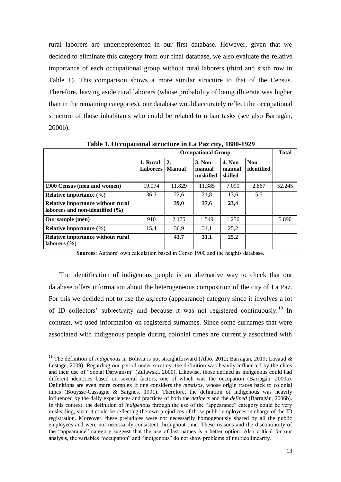rural laborers are underrepresented in our first database. However, given that we decided to eliminate this category from our final database, we also evaluate the relative importance of each occupational group without rural laborers (third and sixth row in Table 1). This comparison shows a more similar structure to that of the Census. Therefore, leaving aside rural laborers (whose probability of being illiterate was higher than in the remaining categories), our database would accurately reflect the occupational structure of those inhabitants who could be related to urban tasks (see also Barragán, 2000b).

|                                                                          |                             | <b>Occupational Group</b> |                                |                                    |                          |        |  |  |  |
|--------------------------------------------------------------------------|-----------------------------|---------------------------|--------------------------------|------------------------------------|--------------------------|--------|--|--|--|
|                                                                          | 1. Rural<br><b>Laborers</b> | 2.<br><b>Manual</b>       | 3. Non-<br>manual<br>unskilled | <b>4. Non</b><br>manual<br>skilled | <b>Non</b><br>identified |        |  |  |  |
| 1900 Census (men and women)                                              | 19.074                      | 11.829                    | 11.385                         | 7.090                              | 2.867                    | 52.245 |  |  |  |
| Relative importance (%)                                                  | 36,5                        | 22,6                      | 21,8                           | 13,6                               | 5,5                      |        |  |  |  |
| Relative importance without rural<br>laborers and non-identified $(\% )$ |                             | 39,0                      | 37,6                           | 23,4                               |                          |        |  |  |  |
| Our sample (men)                                                         | 910                         | 2.175                     | 1.549                          | 1.256                              |                          | 5.890  |  |  |  |
| Relative importance $(\% )$                                              | 15,4                        | 36,9                      | 31,1                           | 25,2                               |                          |        |  |  |  |
| Relative importance without rural<br>laborers $(\% )$                    |                             | 43,7                      | 31,1                           | 25,2                               |                          |        |  |  |  |

**Table 1. Occupational structure in La Paz city, 1880-1929**

**Sources**: Authors' own calculation based in Censo 1900 and the heights database.

The identification of indigenous people is an alternative way to check that our database offers information about the heterogeneous composition of the city of La Paz. For this we decided not to use the *aspecto* (appearance) category since it involves a lot of ID collectors' subjectivity and because it was not registered continuously.<sup>19</sup> In contrast, we used information on registered surnames. Since some surnames that were associated with indigenous people during colonial times are currently associated with

<sup>19</sup> The definition of *indigenous* in Bolivia is not straightforward (Albó, 2012; Barragàn, 2019; Lavaud & Lestage, 2009). Regarding our period under scrutiny, the definition was heavily influenced by the elites and their use of "Social Darwinism" (Zulawski, 2000). Likewise, those defined as indigenous could had different identities based on several factors, one of which was the occupation (Barragán, 2000a). Definitions are even more complex if one considers the *mestizos*, whose origin traces back to colonial times (Bouysse-Cassagne & Saignes, 1991). Therefore, the definition of indigenous was heavily influenced by the daily experiences and practices of both the *definers* and the *defined* (Barragán, 2006b). In this context, the definition of *indigenous* through the use of the "appearance" category could be very misleading, since it could be reflecting the own prejudices of those public employees in charge of the ID registration. Moreover, these prejudices were not necessarily homogenously shared by all the public employees and were not necessarily consistent throughout time. These reasons and the discontinuity of the "appearance" category suggest that the use of last names is a better option. Also critical for our analysis, the variables "occupation" and "indigenous" do not show problems of multicollinearity.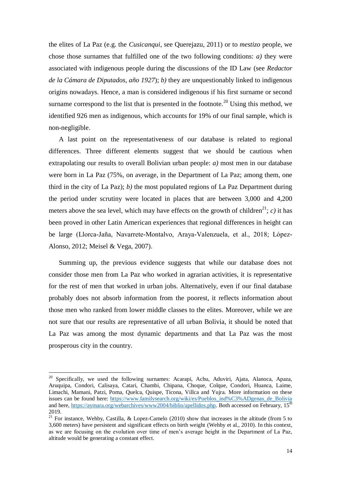the elites of La Paz (e.g. the *Cusicanqui*, see Querejazu, 2011) or to *mestizo* people, we chose those surnames that fulfilled one of the two following conditions: *a)* they were associated with indigenous people during the discussions of the ID Law (see *Redactor de la Cámara de Diputados, año 1927*); *b)* they are unquestionably linked to indigenous origins nowadays. Hence, a man is considered indigenous if his first surname or second surname correspond to the list that is presented in the footnote.<sup>20</sup> Using this method, we identified 926 men as indigenous, which accounts for 19% of our final sample, which is non-negligible.

A last point on the representativeness of our database is related to regional differences. Three different elements suggest that we should be cautious when extrapolating our results to overall Bolivian urban people: *a)* most men in our database were born in La Paz (75%, on average, in the Department of La Paz; among them, one third in the city of La Paz); *b)* the most populated regions of La Paz Department during the period under scrutiny were located in places that are between 3,000 and 4,200 meters above the sea level, which may have effects on the growth of children<sup>21</sup>; *c*) it has been proved in other Latin American experiences that regional differences in height can be large (Llorca-Jaña, Navarrete-Montalvo, Araya-Valenzuela, et al., 2018; López-Alonso, 2012; Meisel & Vega, 2007).

Summing up, the previous evidence suggests that while our database does not consider those men from La Paz who worked in agrarian activities, it is representative for the rest of men that worked in urban jobs. Alternatively, even if our final database probably does not absorb information from the poorest, it reflects information about those men who ranked from lower middle classes to the elites. Moreover, while we are not sure that our results are representative of all urban Bolivia, it should be noted that La Paz was among the most dynamic departments and that La Paz was the most prosperous city in the country.

 $20$  Specifically, we used the following surnames: Acarapi, Achu, Aduviri, Ajata, Alanoca, Apaza, Aruquipa, Condori, Calisaya, Catari, Chambi, Chipana, Choque, Colque, Condori, Huanca, Laime, Limachi, Mamani, Patzi, Poma, Quelca, Quispe, Ticona, Villca and Yujra. More information on these issues can be found here: [https://www.familysearch.org/wiki/es/Pueblos\\_ind%C3%ADgenas\\_de\\_Bolivia](https://www.familysearch.org/wiki/es/Pueblos_ind%C3%ADgenas_de_Bolivia) and here, [https://aymara.org/webarchives/www2004/biblio/apellidos.php.](https://aymara.org/webarchives/www2004/biblio/apellidos.php) Both accessed on February, 15<sup>th</sup> 2019.

<sup>&</sup>lt;sup>21</sup> For instance, Wehby, Castilla, & Lopez-Camelo (2010) show that increases in the altitude (from 5 to 3,600 meters) have persistent and significant effects on birth weight (Wehby et al., 2010). In this context, as we are focusing on the evolution over time of men's average height in the Department of La Paz altitude would be generating a constant effect.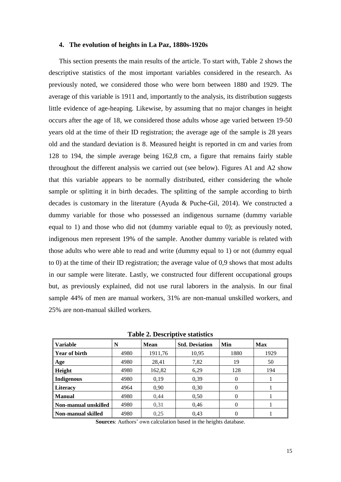#### **4. The evolution of heights in La Paz, 1880s-1920s**

This section presents the main results of the article. To start with, Table 2 shows the descriptive statistics of the most important variables considered in the research. As previously noted, we considered those who were born between 1880 and 1929. The average of this variable is 1911 and, importantly to the analysis, its distribution suggests little evidence of age-heaping. Likewise, by assuming that no major changes in height occurs after the age of 18, we considered those adults whose age varied between 19-50 years old at the time of their ID registration; the average age of the sample is 28 years old and the standard deviation is 8. Measured height is reported in cm and varies from 128 to 194, the simple average being 162,8 cm, a figure that remains fairly stable throughout the different analysis we carried out (see below). Figures A1 and A2 show that this variable appears to be normally distributed, either considering the whole sample or splitting it in birth decades. The splitting of the sample according to birth decades is customary in the literature (Ayuda & Puche-Gil, 2014). We constructed a dummy variable for those who possessed an indigenous surname (dummy variable equal to 1) and those who did not (dummy variable equal to 0); as previously noted, indigenous men represent 19% of the sample. Another dummy variable is related with those adults who were able to read and write (dummy equal to 1) or not (dummy equal to 0) at the time of their ID registration; the average value of 0,9 shows that most adults in our sample were literate. Lastly, we constructed four different occupational groups but, as previously explained, did not use rural laborers in the analysis. In our final sample 44% of men are manual workers, 31% are non-manual unskilled workers, and 25% are non-manual skilled workers.

| Variable             | N    | <b>Mean</b> | <b>Std. Deviation</b> | Min      | <b>Max</b> |
|----------------------|------|-------------|-----------------------|----------|------------|
| Year of birth        | 4980 | 1911,76     | 10,95                 | 1880     | 1929       |
| Age                  | 4980 | 28,41       | 7,82                  | 19       | 50         |
| Height               | 4980 | 162,82      | 6,29                  | 128      | 194        |
| Indigenous           | 4980 | 0.19        | 0,39                  | $\Omega$ |            |
| Literacy             | 4964 | 0,90        | 0,30                  | $\Omega$ |            |
| l Manual             | 4980 | 0.44        | 0,50                  | $\Omega$ |            |
| Non-manual unskilled | 4980 | 0,31        | 0,46                  | 0        |            |
| Non-manual skilled   | 4980 | 0.25        | 0.43                  | 0        |            |

**Table 2. Descriptive statistics**

**Sources**: Authors' own calculation based in the heights database.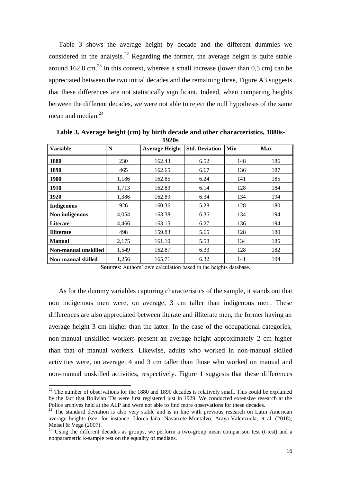Table 3 shows the average height by decade and the different dummies we considered in the analysis.<sup>22</sup> Regarding the former, the average height is quite stable around 162.8 cm.<sup>23</sup> In this context, whereas a small increase (lower than  $0.5$  cm) can be appreciated between the two initial decades and the remaining three, Figure A3 suggests that these differences are not statistically significant. Indeed, when comparing heights between the different decades, we were not able to reject the null hypothesis of the same mean and median.<sup>24</sup>

| ⊥⁄ <i>≡</i> v∪       |       |                       |                       |     |            |  |  |  |  |
|----------------------|-------|-----------------------|-----------------------|-----|------------|--|--|--|--|
| <b>Variable</b>      | N     | <b>Average Height</b> | <b>Std. Deviation</b> | Min | <b>Max</b> |  |  |  |  |
| 1880                 | 230   | 162.43                | 6.52                  | 148 | 186        |  |  |  |  |
| 1890                 | 465   | 162.65                | 6.67                  | 136 | 187        |  |  |  |  |
| <b>1900</b>          | 1,186 | 162.85                | 6.24                  | 141 | 185        |  |  |  |  |
| 1910                 | 1,713 | 162.83                | 6.14                  | 128 | 184        |  |  |  |  |
| 1920                 | 1,386 | 162.89                | 6.34                  | 134 | 194        |  |  |  |  |
| Indigenous           | 926   | 160.36                | 5.28                  | 128 | 180        |  |  |  |  |
| Non indigenous       | 4,054 | 163.38                | 6.36                  | 134 | 194        |  |  |  |  |
| Literate             | 4,466 | 163.15                | 6.27                  | 136 | 194        |  |  |  |  |
| <b>Illiterate</b>    | 498   | 159.83                | 5.65                  | 128 | 180        |  |  |  |  |
| <b>Manual</b>        | 2,175 | 161.10                | 5.58                  | 134 | 185        |  |  |  |  |
| Non-manual unskilled | 1,549 | 162.87                | 6.33                  | 128 | 182        |  |  |  |  |
| Non-manual skilled   | 1,256 | 165.71                | 6.32                  | 141 | 194        |  |  |  |  |

**Table 3. Average height (cm) by birth decade and other characteristics, 1880s-1920s** 

**Sources**: Authors' own calculation based in the heights database.

As for the dummy variables capturing characteristics of the sample, it stands out that non indigenous men were, on average, 3 cm taller than indigenous men. These differences are also appreciated between literate and illiterate men, the former having an average height 3 cm higher than the latter. In the case of the occupational categories, non-manual unskilled workers present an average height approximately 2 cm higher than that of manual workers. Likewise, adults who worked in non-manual skilled activities were, on average, 4 and 3 cm taller than those who worked on manual and non-manual unskilled activities, respectively. Figure 1 suggests that these differences

 $\overline{a}$ 

 $22$  The number of observations for the 1880 and 1890 decades is relatively small. This could be explained by the fact that Bolivian IDs were first registered just in 1929. We conducted extensive research at the Police archives held at the ALP and were not able to find more observations for these decades.

<sup>&</sup>lt;sup>23</sup> The standard deviation is also very stable and is in line with previous research on Latin American average heights (see, for instance, Llorca-Jaña, Navarrete-Montalvo, Araya-Valenzuela, et al. (2018); Meisel & Vega (2007).

<sup>&</sup>lt;sup>24</sup> Using the different decades as groups, we perform a two-group mean comparison test (t-test) and a nonparametric k-sample test on the equality of medians.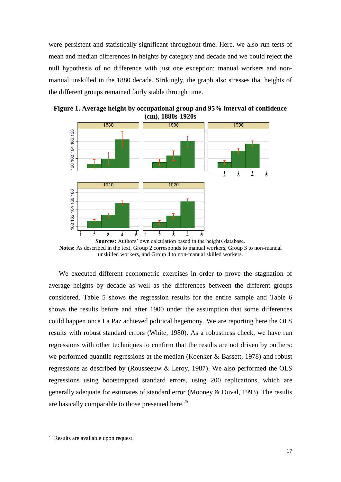were persistent and statistically significant throughout time. Here, we also run tests of mean and median differences in heights by category and decade and we could reject the null hypothesis of no difference with just one exception: manual workers and nonmanual unskilled in the 1880 decade. Strikingly, the graph also stresses that heights of the different groups remained fairly stable through time.



**Figure 1. Average height by occupational group and 95% interval of confidence (cm), 1880s-1920s**

We executed different econometric exercises in order to prove the stagnation of average heights by decade as well as the differences between the different groups considered. Table 5 shows the regression results for the entire sample and Table 6 shows the results before and after 1900 under the assumption that some differences could happen once La Paz achieved political hegemony. We are reporting here the OLS results with robust standard errors (White, 1980). As a robustness check, we have run regressions with other techniques to confirm that the results are not driven by outliers: we performed quantile regressions at the median (Koenker & Bassett, 1978) and robust regressions as described by (Rousseeuw & Leroy, 1987). We also performed the OLS regressions using bootstrapped standard errors, using 200 replications, which are generally adequate for estimates of standard error (Mooney & Duval, 1993). The results are basically comparable to those presented here.<sup>25</sup>

**Sources:** Authors' own calculation based in the heights database. **Notes:** As described in the text, Group 2 corresponds to manual workers, Group 3 to non-manual unskilled workers, and Group 4 to non-manual skilled workers.

 $25$  Results are available upon request.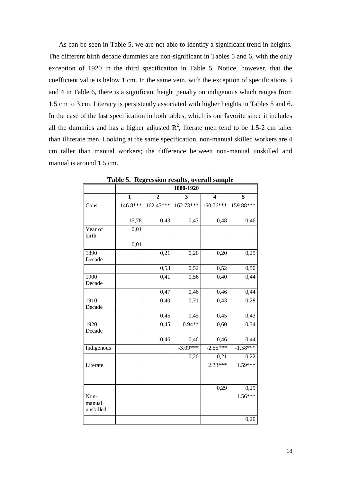As can be seen in Table 5, we are not able to identify a significant trend in heights. The different birth decade dummies are non-significant in Tables 5 and 6, with the only exception of 1920 in the third specification in Table 5. Notice, however, that the coefficient value is below 1 cm. In the same vein, with the exception of specifications 3 and 4 in Table 6, there is a significant height penalty on indigenous which ranges from 1.5 cm to 3 cm. Literacy is persistently associated with higher heights in Tables 5 and 6. In the case of the last specification in both tables, which is our favorite since it includes all the dummies and has a higher adjusted  $\mathbb{R}^2$ , literate men tend to be 1.5-2 cm taller than illiterate men. Looking at the same specification, non-manual skilled workers are 4 cm taller than manual workers; the difference between non-manual unskilled and manual is around 1.5 cm.

|                             | 1880-1920 |              |             |                         |            |  |  |  |  |  |
|-----------------------------|-----------|--------------|-------------|-------------------------|------------|--|--|--|--|--|
|                             | 1         | $\mathbf{2}$ | 3           | $\overline{\mathbf{4}}$ | 5          |  |  |  |  |  |
| Cons.                       | 146.8***  | $162.43***$  | $162.73***$ | 160.76***               | 159.88***  |  |  |  |  |  |
|                             | 15,78     | 0,43         | 0,43        | 0,48                    | 0,46       |  |  |  |  |  |
| Year of<br>birth            | 0,01      |              |             |                         |            |  |  |  |  |  |
|                             | 0,01      |              |             |                         |            |  |  |  |  |  |
| 1890<br>Decade              |           | 0,21         | 0,26        | 0,20                    | 0,25       |  |  |  |  |  |
|                             |           | 0,53         | 0,52        | 0,52                    | 0,50       |  |  |  |  |  |
| 1900<br>Decade              |           | 0,41         | 0,56        | 0,40                    | 0,44       |  |  |  |  |  |
|                             |           | 0,47         | 0,46        | 0,46                    | 0,44       |  |  |  |  |  |
| 1910<br>Decade              |           | 0,40         | 0,71        | 0,43                    | 0,28       |  |  |  |  |  |
|                             |           | 0,45         | 0,45        | 0,45                    | 0,43       |  |  |  |  |  |
| 1920<br>Decade              |           | 0,45         | $0.94**$    | 0,60                    | 0,34       |  |  |  |  |  |
|                             |           | 0,46         | 0,46        | 0,46                    | 0,44       |  |  |  |  |  |
| Indigenous                  |           |              | $-3.09***$  | $-2.55***$              | $-1.58***$ |  |  |  |  |  |
|                             |           |              | 0,20        | 0,21                    | 0,22       |  |  |  |  |  |
| Literate                    |           |              |             | $2.33***$               | $1.59***$  |  |  |  |  |  |
|                             |           |              |             | 0,29                    | 0,29       |  |  |  |  |  |
| Non-<br>manual<br>unskilled |           |              |             |                         | $1.56***$  |  |  |  |  |  |
|                             |           |              |             |                         | 0,20       |  |  |  |  |  |

**Table 5. Regression results, overall sample**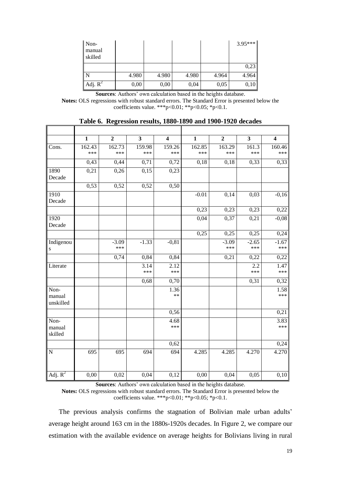| Non-<br>manual<br>skilled |       |       |       |       | $3.95***$ |
|---------------------------|-------|-------|-------|-------|-----------|
|                           |       |       |       |       | 0,23      |
| l N                       | 4.980 | 4.980 | 4.980 | 4.964 | 4.964     |
| Adj. $R^2$                | 0,00  | 0,00  | 0,04  | 0,05  | 0,10      |

**Sources**: Authors' own calculation based in the heights database.

**Notes:** OLS regressions with robust standard errors. The Standard Error is presented below the coefficients value. \*\*\*p<0.01; \*\*p<0.05; \*p<0.1.

| Table 6. Regression results, 1880-1890 and 1900-1920 decades |  |  |  |
|--------------------------------------------------------------|--|--|--|
|                                                              |  |  |  |

п

|                       | $\mathbf{1}$ | $\overline{2}$ | $\overline{\mathbf{3}}$ | $\overline{\mathbf{4}}$ | $\mathbf{1}$ | $\overline{2}$ | $\mathbf{3}$ | $\overline{\mathbf{4}}$ |  |
|-----------------------|--------------|----------------|-------------------------|-------------------------|--------------|----------------|--------------|-------------------------|--|
| Cons.                 | 162.43       | 162.73         | 159.98                  | 159.26                  | 162.85       | 163.29         | 161.3        | 160.46                  |  |
|                       | ***          | ***            | ***                     | ***                     | ***          | ***            | ***          | ***                     |  |
|                       | 0,43         | 0,44           | 0,71                    | 0,72                    | 0,18         | 0,18           | 0,33         | 0,33                    |  |
| 1890<br>Decade        | 0,21         | 0,26           | 0,15                    | 0,23                    |              |                |              |                         |  |
|                       |              |                |                         |                         |              |                |              |                         |  |
|                       | 0,53         | 0,52           | 0,52                    | 0,50                    |              |                |              |                         |  |
| 1910<br>Decade        |              |                |                         |                         | $-0.01$      | 0,14           | 0,03         | $-0,16$                 |  |
|                       |              |                |                         |                         | 0,23         | 0,23           | 0,23         | 0,22                    |  |
| 1920<br>Decade        |              |                |                         |                         | 0,04         | 0,37           | 0,21         | $-0,08$                 |  |
|                       |              |                |                         |                         | 0,25         | 0,25           | 0,25         | 0,24                    |  |
| Indigenou             |              | $-3.09$        | $-1.33$                 | $-0,81$                 |              | $-3.09$        | $-2.65$      | $-1.67$                 |  |
| ${\bf S}$             |              | ***            |                         |                         |              | ***            | ***          | ***                     |  |
|                       |              | 0,74           | 0,84                    | 0,84                    |              | 0,21           | 0,22         | 0,22                    |  |
| Literate              |              |                | $\overline{3.14}$       | 2.12                    |              |                | 2.2          | 1.47                    |  |
|                       |              |                | ***                     | ***                     |              |                | ***          | ***                     |  |
|                       |              |                | 0,68                    | 0,70                    |              |                | 0,31         | 0,32                    |  |
| Non-                  |              |                |                         | 1.36                    |              |                |              | 1.58                    |  |
| manual<br>unskilled   |              |                |                         | $**$                    |              |                |              | ***                     |  |
|                       |              |                |                         | 0,56                    |              |                |              | 0,21                    |  |
| Non-                  |              |                |                         | 4.68                    |              |                |              | 3.83                    |  |
| manual<br>skilled     |              |                |                         | ***                     |              |                |              | ***                     |  |
|                       |              |                |                         | 0,62                    |              |                |              | 0,24                    |  |
| $\mathbf N$           | 695          | 695            | 694                     | 694                     | 4.285        | 4.285          | 4.270        | 4.270                   |  |
| Adj. $\overline{R^2}$ | 0,00         | 0,02           | 0,04                    | 0,12                    | 0,00         | 0,04           | 0,05         | 0,10                    |  |
|                       |              |                |                         |                         |              |                |              |                         |  |

**Sources**: Authors' own calculation based in the heights database.

**Notes:** OLS regressions with robust standard errors. The Standard Error is presented below the coefficients value. \*\*\*p<0.01; \*\*p<0.05; \*p<0.1.

The previous analysis confirms the stagnation of Bolivian male urban adults' average height around 163 cm in the 1880s-1920s decades. In Figure 2, we compare our estimation with the available evidence on average heights for Bolivians living in rural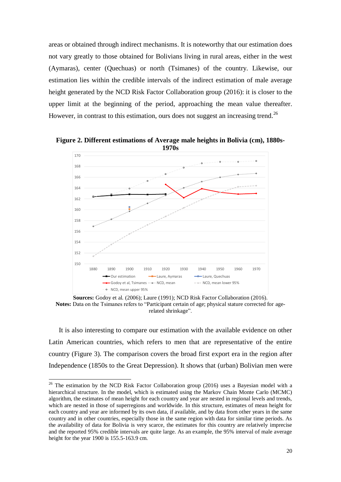areas or obtained through indirect mechanisms. It is noteworthy that our estimation does not vary greatly to those obtained for Bolivians living in rural areas, either in the west (Aymaras), center (Quechuas) or north (Tsimanes) of the country. Likewise, our estimation lies within the credible intervals of the indirect estimation of male average height generated by the NCD Risk Factor Collaboration group (2016): it is closer to the upper limit at the beginning of the period, approaching the mean value thereafter. However, in contrast to this estimation, ours does not suggest an increasing trend.<sup>26</sup>



**Figure 2. Different estimations of Average male heights in Bolivia (cm), 1880s-**

**Sources:** Godoy et al. (2006); Laure (1991); NCD Risk Factor Collaboration (2016). Notes: Data on the Tsimanes refers to "Participant certain of age; physical stature corrected for agerelated shrinkage".

It is also interesting to compare our estimation with the available evidence on other Latin American countries, which refers to men that are representative of the entire country (Figure 3). The comparison covers the broad first export era in the region after Independence (1850s to the Great Depression). It shows that (urban) Bolivian men were

 $\overline{a}$ 

 $26$  The estimation by the NCD Risk Factor Collaboration group (2016) uses a Bayesian model with a hierarchical structure. In the model, which is estimated using the Markov Chain Monte Carlo (MCMC) algorithm, the estimates of mean height for each country and year are nested in regional levels and trends, which are nested in those of superregions and worldwide. In this structure, estimates of mean height for each country and year are informed by its own data, if available, and by data from other years in the same country and in other countries, especially those in the same region with data for similar time periods. As the availability of data for Bolivia is very scarce, the estimates for this country are relatively imprecise and the reported 95% credible intervals are quite large. As an example, the 95% interval of male average height for the year 1900 is 155.5-163.9 cm.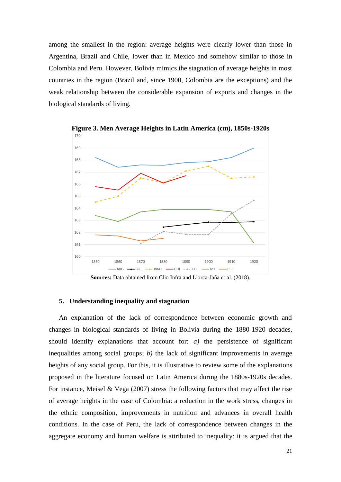among the smallest in the region: average heights were clearly lower than those in Argentina, Brazil and Chile, lower than in Mexico and somehow similar to those in Colombia and Peru. However, Bolivia mimics the stagnation of average heights in most countries in the region (Brazil and, since 1900, Colombia are the exceptions) and the weak relationship between the considerable expansion of exports and changes in the biological standards of living.



**Figure 3. Men Average Heights in Latin America (cm), 1850s-1920s** 

**Sources:** Data obtained from Clio Infra and Llorca-Jaña et al. (2018).

#### **5. Understanding inequality and stagnation**

An explanation of the lack of correspondence between economic growth and changes in biological standards of living in Bolivia during the 1880-1920 decades, should identify explanations that account for: *a)* the persistence of significant inequalities among social groups; *b)* the lack of significant improvements in average heights of any social group. For this, it is illustrative to review some of the explanations proposed in the literature focused on Latin America during the 1880s-1920s decades. For instance, Meisel & Vega (2007) stress the following factors that may affect the rise of average heights in the case of Colombia: a reduction in the work stress, changes in the ethnic composition, improvements in nutrition and advances in overall health conditions. In the case of Peru, the lack of correspondence between changes in the aggregate economy and human welfare is attributed to inequality: it is argued that the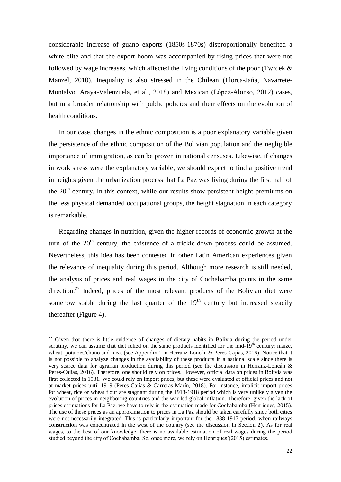considerable increase of guano exports (1850s-1870s) disproportionally benefited a white elite and that the export boom was accompanied by rising prices that were not followed by wage increases, which affected the living conditions of the poor (Twrdek  $\&$ Manzel, 2010). Inequality is also stressed in the Chilean (Llorca-Jaña, Navarrete-Montalvo, Araya-Valenzuela, et al., 2018) and Mexican (López-Alonso, 2012) cases, but in a broader relationship with public policies and their effects on the evolution of health conditions.

In our case, changes in the ethnic composition is a poor explanatory variable given the persistence of the ethnic composition of the Bolivian population and the negligible importance of immigration, as can be proven in national censuses. Likewise, if changes in work stress were the explanatory variable, we should expect to find a positive trend in heights given the urbanization process that La Paz was living during the first half of the  $20<sup>th</sup>$  century. In this context, while our results show persistent height premiums on the less physical demanded occupational groups, the height stagnation in each category is remarkable.

Regarding changes in nutrition, given the higher records of economic growth at the turn of the  $20<sup>th</sup>$  century, the existence of a trickle-down process could be assumed. Nevertheless, this idea has been contested in other Latin American experiences given the relevance of inequality during this period. Although more research is still needed, the analysis of prices and real wages in the city of Cochabamba points in the same direction.<sup>27</sup> Indeed, prices of the most relevant products of the Bolivian diet were somehow stable during the last quarter of the  $19<sup>th</sup>$  century but increased steadily thereafter (Figure 4).

 $27$  Given that there is little evidence of changes of dietary habits in Bolivia during the period under scrutiny, we can assume that diet relied on the same products identified for the mid- $19<sup>th</sup>$  century: maize, wheat, potatoes/chuño and meat (see Appendix 1 in Herranz-Loncán & Peres-Cajías, 2016). Notice that it is not possible to analyze changes in the availability of these products in a national scale since there is very scarce data for agrarian production during this period (see the discussion in Herranz-Loncán & Peres-Cajías, 2016). Therefore, one should rely on prices. However, official data on prices in Bolivia was first collected in 1931. We could rely on import prices, but these were evaluated at official prices and not at market prices until 1919 (Peres-Cajías & Carreras-Marín, 2018). For instance, implicit import prices for wheat, rice or wheat flour are stagnant during the 1913-1918 period which is very unlikely given the evolution of prices in neighboring countries and the war-led global inflation. Therefore, given the lack of prices estimations for La Paz, we have to rely in the estimation made for Cochabamba (Henriques, 2015). The use of these prices as an approximation to prices in La Paz should be taken carefully since both cities were not necessarily integrated. This is particularly important for the 1888-1917 period, when railways construction was concentrated in the west of the country (see the discussion in Section 2). As for real wages, to the best of our knowledge, there is no available estimation of real wages during the period studied beyond the city of Cochabamba. So, once more, we rely on Henriques' $(2015)$  estimates.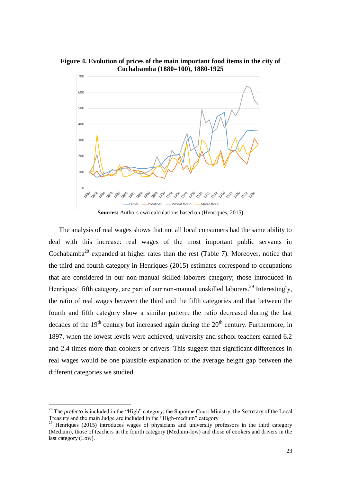

**Figure 4. Evolution of prices of the main important food items in the city of Cochabamba (1880=100), 1880-1925**

**Sources:** Authors own calculations based on (Henriques, 2015)

The analysis of real wages shows that not all local consumers had the same ability to deal with this increase: real wages of the most important public servants in Cochabamba<sup>28</sup> expanded at higher rates than the rest (Table 7). Moreover, notice that the third and fourth category in Henriques (2015) estimates correspond to occupations that are considered in our non-manual skilled laborers category; those introduced in Henriques' fifth category, are part of our non-manual unskilled laborers.<sup>29</sup> Interestingly, the ratio of real wages between the third and the fifth categories and that between the fourth and fifth category show a similar pattern: the ratio decreased during the last decades of the 19<sup>th</sup> century but increased again during the  $20<sup>th</sup>$  century. Furthermore, in 1897, when the lowest levels were achieved, university and school teachers earned 6.2 and 2.4 times more than cookers or drivers. This suggest that significant differences in real wages would be one plausible explanation of the average height gap between the different categories we studied.

 $\overline{a}$ 

<sup>&</sup>lt;sup>28</sup> The *prefecto* is included in the "High" category; the Supreme Court Ministry, the Secretary of the Local Treasury and the main Judge are included in the "High-medium" category.

<sup>&</sup>lt;sup>29</sup> Henriques (2015) introduces wages of physicians and university professors in the third category (Medium), those of teachers in the fourth category (Medium-low) and those of cookers and drivers in the last category (Low).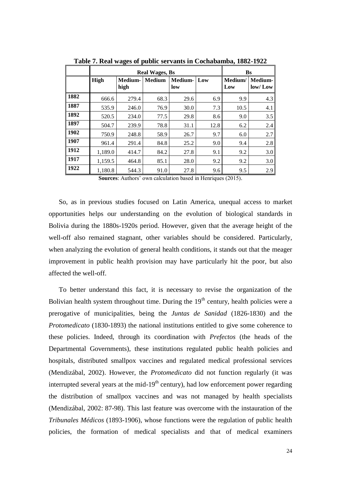|      |         | <b>Real Wages, Bs</b> | <b>Bs</b>     |                |      |                |                              |
|------|---------|-----------------------|---------------|----------------|------|----------------|------------------------------|
|      | High    | Medium-<br>high       | <b>Medium</b> | Medium-<br>low | Low  | Medium/<br>Low | Medium-<br>$\frac{1}{2}$ low |
| 1882 | 666.6   | 279.4                 | 68.3          | 29.6           | 6.9  | 9.9            | 4.3                          |
| 1887 | 535.9   | 246.0                 | 76.9          | 30.0           | 7.3  | 10.5           | 4.1                          |
| 1892 | 520.5   | 234.0                 | 77.5          | 29.8           | 8.6  | 9.0            | 3.5                          |
| 1897 | 504.7   | 239.9                 | 78.8          | 31.1           | 12.8 | 6.2            | 2.4                          |
| 1902 | 750.9   | 248.8                 | 58.9          | 26.7           | 9.7  | 6.0            | 2.7                          |
| 1907 | 961.4   | 291.4                 | 84.8          | 25.2           | 9.0  | 9.4            | 2.8                          |
| 1912 | 1,189.0 | 414.7                 | 84.2          | 27.8           | 9.1  | 9.2            | 3.0                          |
| 1917 | 1,159.5 | 464.8                 | 85.1          | 28.0           | 9.2  | 9.2            | 3.0                          |
| 1922 | 1,180.8 | 544.3                 | 91.0          | 27.8           | 9.6  | 9.5            | 2.9                          |

**Table 7. Real wages of public servants in Cochabamba, 1882-1922**

**Sources**: Authors' own calculation based in Henriques (2015).

So, as in previous studies focused on Latin America, unequal access to market opportunities helps our understanding on the evolution of biological standards in Bolivia during the 1880s-1920s period. However, given that the average height of the well-off also remained stagnant, other variables should be considered. Particularly, when analyzing the evolution of general health conditions, it stands out that the meager improvement in public health provision may have particularly hit the poor, but also affected the well-off.

To better understand this fact, it is necessary to revise the organization of the Bolivian health system throughout time. During the  $19<sup>th</sup>$  century, health policies were a prerogative of municipalities, being the *Juntas de Sanidad* (1826-1830) and the *Protomedicato* (1830-1893) the national institutions entitled to give some coherence to these policies. Indeed, through its coordination with *Prefectos* (the heads of the Departmental Governments), these institutions regulated public health policies and hospitals, distributed smallpox vaccines and regulated medical professional services (Mendizábal, 2002). However, the *Protomedicato* did not function regularly (it was interrupted several years at the mid- $19<sup>th</sup>$  century), had low enforcement power regarding the distribution of smallpox vaccines and was not managed by health specialists (Mendizábal, 2002: 87-98). This last feature was overcome with the instauration of the *Tribunales Médicos* (1893-1906), whose functions were the regulation of public health policies, the formation of medical specialists and that of medical examiners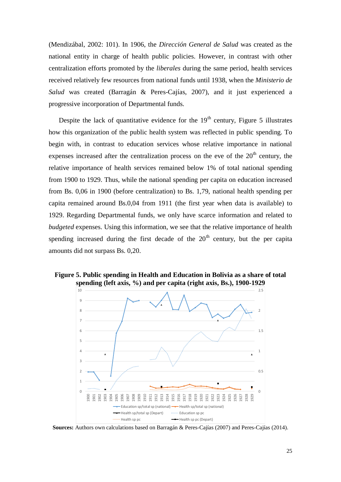(Mendizábal, 2002: 101). In 1906, the *Dirección General de Salud* was created as the national entity in charge of health public policies. However, in contrast with other centralization efforts promoted by the *liberales* during the same period, health services received relatively few resources from national funds until 1938, when the *Ministerio de Salud* was created (Barragán & Peres-Cajías, 2007), and it just experienced a progressive incorporation of Departmental funds.

Despite the lack of quantitative evidence for the  $19<sup>th</sup>$  century, Figure 5 illustrates how this organization of the public health system was reflected in public spending. To begin with, in contrast to education services whose relative importance in national expenses increased after the centralization process on the eve of the  $20<sup>th</sup>$  century, the relative importance of health services remained below 1% of total national spending from 1900 to 1929. Thus, while the national spending per capita on education increased from Bs. 0,06 in 1900 (before centralization) to Bs. 1,79, national health spending per capita remained around Bs.0,04 from 1911 (the first year when data is available) to 1929. Regarding Departmental funds, we only have scarce information and related to *budgeted* expenses. Using this information, we see that the relative importance of health spending increased during the first decade of the  $20<sup>th</sup>$  century, but the per capita amounts did not surpass Bs. 0,20.



**Figure 5. Public spending in Health and Education in Bolivia as a share of total spending (left axis, %) and per capita (right axis, Bs.), 1900-1929** 

**Sources:** Authors own calculations based on Barragán & Peres-Cajías (2007) and Peres-Cajías (2014).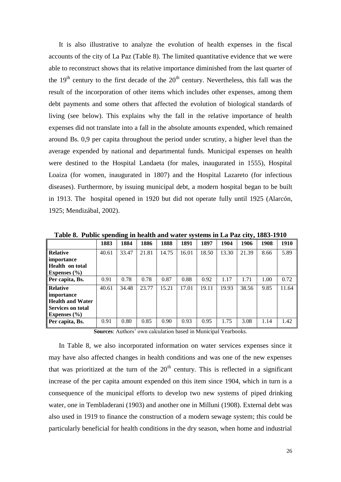It is also illustrative to analyze the evolution of health expenses in the fiscal accounts of the city of La Paz (Table 8). The limited quantitative evidence that we were able to reconstruct shows that its relative importance diminished from the last quarter of the  $19<sup>th</sup>$  century to the first decade of the  $20<sup>th</sup>$  century. Nevertheless, this fall was the result of the incorporation of other items which includes other expenses, among them debt payments and some others that affected the evolution of biological standards of living (see below). This explains why the fall in the relative importance of health expenses did not translate into a fall in the absolute amounts expended, which remained around Bs. 0,9 per capita throughout the period under scrutiny, a higher level than the average expended by national and departmental funds. Municipal expenses on health were destined to the Hospital Landaeta (for males, inaugurated in 1555), Hospital Loaiza (for women, inaugurated in 1807) and the Hospital Lazareto (for infectious diseases). Furthermore, by issuing municipal debt, a modern hospital began to be built in 1913. The hospital opened in 1920 but did not operate fully until 1925 (Alarcón, 1925; Mendizábal, 2002).

|                        | 1883  | 1884  | 1886  | 1888  | 1891  | 1897  | 1904  | 1906  | 1908 | 1910  |
|------------------------|-------|-------|-------|-------|-------|-------|-------|-------|------|-------|
| <b>Relative</b>        | 40.61 | 33.47 | 21.81 | 14.75 | 16.01 | 18.50 | 13.30 | 21.39 | 8.66 | 5.89  |
| importance             |       |       |       |       |       |       |       |       |      |       |
| <b>Health</b> on total |       |       |       |       |       |       |       |       |      |       |
| Expenses $(\% )$       |       |       |       |       |       |       |       |       |      |       |
| Per capita, Bs.        | 0.91  | 0.78  | 0.78  | 0.87  | 0.88  | 0.92  | 1.17  | 1.71  | 1.00 | 0.72  |
| <b>Relative</b>        | 40.61 | 34.48 | 23.77 | 15.21 | 17.01 | 19.11 | 19.93 | 38.56 | 9.85 | 11.64 |
| importance             |       |       |       |       |       |       |       |       |      |       |
| Health and Water       |       |       |       |       |       |       |       |       |      |       |
| Services on total      |       |       |       |       |       |       |       |       |      |       |
| Expenses $(\% )$       |       |       |       |       |       |       |       |       |      |       |
| <b>Per capita, Bs.</b> | 0.91  | 0.80  | 0.85  | 0.90  | 0.93  | 0.95  | 1.75  | 3.08  | 1.14 | 1.42  |

**Table 8. Public spending in health and water systems in La Paz city, 1883-1910**

**Sources**: Authors' own calculation based in Municipal Yearbooks.

In Table 8, we also incorporated information on water services expenses since it may have also affected changes in health conditions and was one of the new expenses that was prioritized at the turn of the  $20<sup>th</sup>$  century. This is reflected in a significant increase of the per capita amount expended on this item since 1904, which in turn is a consequence of the municipal efforts to develop two new systems of piped drinking water, one in Tembladerani (1903) and another one in Milluni (1908). External debt was also used in 1919 to finance the construction of a modern sewage system; this could be particularly beneficial for health conditions in the dry season, when home and industrial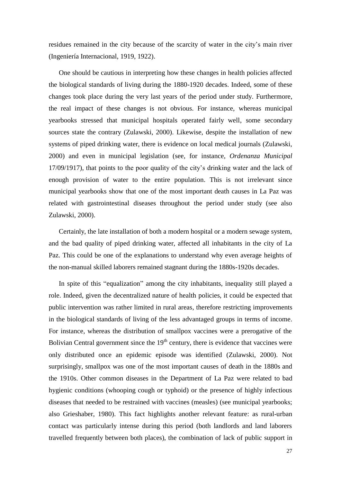residues remained in the city because of the scarcity of water in the city's main river (Ingeniería Internacional, 1919, 1922).

One should be cautious in interpreting how these changes in health policies affected the biological standards of living during the 1880-1920 decades. Indeed, some of these changes took place during the very last years of the period under study. Furthermore, the real impact of these changes is not obvious. For instance, whereas municipal yearbooks stressed that municipal hospitals operated fairly well, some secondary sources state the contrary (Zulawski, 2000). Likewise, despite the installation of new systems of piped drinking water, there is evidence on local medical journals (Zulawski, 2000) and even in municipal legislation (see, for instance, *Ordenanza Municipal* 17/09/1917), that points to the poor quality of the city's drinking water and the lack of enough provision of water to the entire population. This is not irrelevant since municipal yearbooks show that one of the most important death causes in La Paz was related with gastrointestinal diseases throughout the period under study (see also Zulawski, 2000).

Certainly, the late installation of both a modern hospital or a modern sewage system, and the bad quality of piped drinking water, affected all inhabitants in the city of La Paz. This could be one of the explanations to understand why even average heights of the non-manual skilled laborers remained stagnant during the 1880s-1920s decades.

In spite of this "equalization" among the city inhabitants, inequality still played a role. Indeed, given the decentralized nature of health policies, it could be expected that public intervention was rather limited in rural areas, therefore restricting improvements in the biological standards of living of the less advantaged groups in terms of income. For instance, whereas the distribution of smallpox vaccines were a prerogative of the Bolivian Central government since the  $19<sup>th</sup>$  century, there is evidence that vaccines were only distributed once an epidemic episode was identified (Zulawski, 2000). Not surprisingly, smallpox was one of the most important causes of death in the 1880s and the 1910s. Other common diseases in the Department of La Paz were related to bad hygienic conditions (whooping cough or typhoid) or the presence of highly infectious diseases that needed to be restrained with vaccines (measles) (see municipal yearbooks; also Grieshaber, 1980). This fact highlights another relevant feature: as rural-urban contact was particularly intense during this period (both landlords and land laborers travelled frequently between both places), the combination of lack of public support in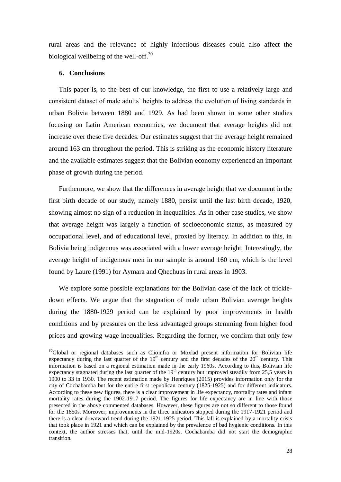rural areas and the relevance of highly infectious diseases could also affect the biological wellbeing of the well-off. $30$ 

### **6. Conclusions**

 $\overline{a}$ 

This paper is, to the best of our knowledge, the first to use a relatively large and consistent dataset of male adults' heights to address the evolution of living standards in urban Bolivia between 1880 and 1929. As had been shown in some other studies focusing on Latin American economies, we document that average heights did not increase over these five decades. Our estimates suggest that the average height remained around 163 cm throughout the period. This is striking as the economic history literature and the available estimates suggest that the Bolivian economy experienced an important phase of growth during the period.

Furthermore, we show that the differences in average height that we document in the first birth decade of our study, namely 1880, persist until the last birth decade, 1920, showing almost no sign of a reduction in inequalities. As in other case studies, we show that average height was largely a function of socioeconomic status, as measured by occupational level, and of educational level, proxied by literacy. In addition to this, in Bolivia being indigenous was associated with a lower average height. Interestingly, the average height of indigenous men in our sample is around 160 cm, which is the level found by Laure (1991) for Aymara and Qhechuas in rural areas in 1903.

We explore some possible explanations for the Bolivian case of the lack of trickledown effects. We argue that the stagnation of male urban Bolivian average heights during the 1880-1929 period can be explained by poor improvements in health conditions and by pressures on the less advantaged groups stemming from higher food prices and growing wage inequalities. Regarding the former, we confirm that only few

<sup>&</sup>lt;sup>30</sup>Global or regional databases such as Clioinfra or Moxlad present information for Bolivian life expectancy during the last quarter of the 19<sup>th</sup> century and the first decades of the 20<sup>th</sup> century. This information is based on a regional estimation made in the early 1960s. According to this, Bolivian life expectancy stagnated during the last quarter of the  $19<sup>th</sup>$  century but improved steadily from 25,5 years in 1900 to 33 in 1930. The recent estimation made by Henriques (2015) provides information only for the city of Cochabamba but for the entire first republican century (1825-1925) and for different indicators. According to these new figures, there is a clear improvement in life expectancy, mortality rates and infant mortality rates during the 1902-1917 period. The figures for life expectancy are in line with those presented in the above commented databases. However, these figures are not so different to those found for the 1850s. Moreover, improvements in the three indicators stopped during the 1917-1921 period and there is a clear downward trend during the 1921-1925 period. This fall is explained by a mortality crisis that took place in 1921 and which can be explained by the prevalence of bad hygienic conditions. In this context, the author stresses that, until the mid-1920s, Cochabamba did not start the demographic transition.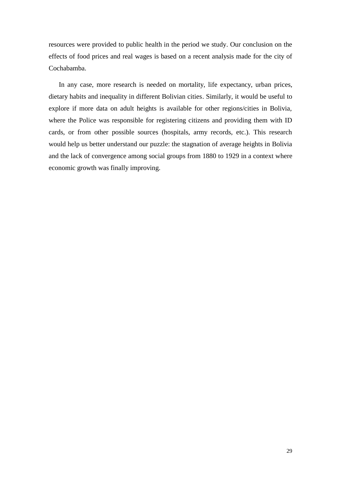resources were provided to public health in the period we study. Our conclusion on the effects of food prices and real wages is based on a recent analysis made for the city of Cochabamba.

In any case, more research is needed on mortality, life expectancy, urban prices, dietary habits and inequality in different Bolivian cities. Similarly, it would be useful to explore if more data on adult heights is available for other regions/cities in Bolivia, where the Police was responsible for registering citizens and providing them with ID cards, or from other possible sources (hospitals, army records, etc.). This research would help us better understand our puzzle: the stagnation of average heights in Bolivia and the lack of convergence among social groups from 1880 to 1929 in a context where economic growth was finally improving.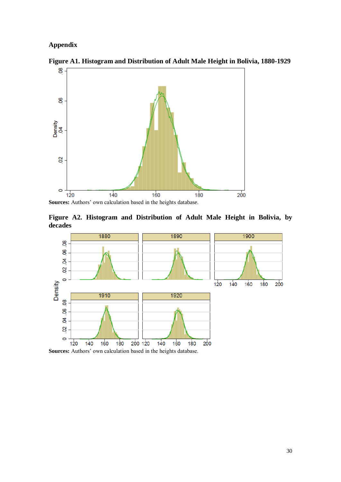## **Appendix**



**Figure A1. Histogram and Distribution of Adult Male Height in Bolivia, 1880-1929** 

**Sources:** Authors' own calculation based in the heights database.

**Figure A2. Histogram and Distribution of Adult Male Height in Bolivia, by decades**



**Sources:** Authors' own calculation based in the heights database.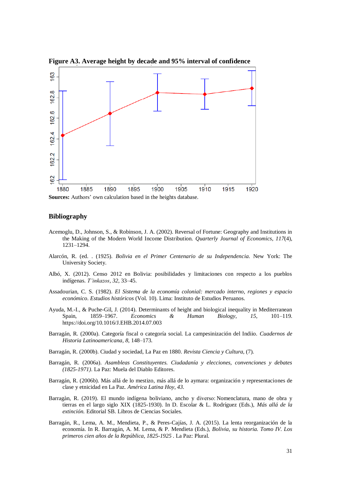

**Figure A3. Average height by decade and 95% interval of confidence** 

**Sources:** Authors' own calculation based in the heights database.

#### **Bibliography**

- Acemoglu, D., Johnson, S., & Robinson, J. A. (2002). Reversal of Fortune: Geography and Institutions in the Making of the Modern World Income Distribution. *Quarterly Journal of Economics*, *117*(4), 1231–1294.
- Alarcón, R. (ed. . (1925). *Bolivia en el Primer Centenario de su Independencia*. New York: The University Society.
- Albó, X. (2012). Censo 2012 en Bolivia: posibilidades y limitaciones con respecto a los pueblos indígenas. *T'inkazos*, *32*, 33–45.
- Assadourian, C. S. (1982). *El Sistema de la economía colonial: mercado interno, regiones y espacio económico*. *Estudios históricos* (Vol. 10). Lima: Instituto de Estudios Peruanos.
- Ayuda, M.-I., & Puche-Gil, J. (2014). Determinants of height and biological inequality in Mediterranean Spain, 1859–1967. *Economics & Human Biology*, *15*, 101–119. https://doi.org/10.1016/J.EHB.2014.07.003
- Barragán, R. (2000a). Categoría fiscal o categoría social. La campesinización del Indiio. *Cuadernos de Historia Latinoamericana*, *8*, 148–173.
- Barragán, R. (2000b). Ciudad y sociedad, La Paz en 1880. *Revista Ciencia y Cultura*, (7).
- Barragán, R. (2006a). *Asambleas Constituyentes. Ciudadanía y elecciones, convenciones y debates (1825-1971)*. La Paz: Muela del Diablo Editores.
- Barragán, R. (2006b). Más allá de lo mestizo, más allá de lo aymara: organización y representaciones de clase y etnicidad en La Paz. *América Latina Hoy*, *43*.
- Barragàn, R. (2019). El mundo indígena boliviano, ancho y diverso: Nomenclatura, mano de obra y tierras en el largo siglo XIX (1825-1930). In D. Escolar & L. Rodríguez (Eds.), *Más allá de la extinción.* Editorial SB. Libros de Ciencias Sociales.
- Barragán, R., Lema, A. M., Mendieta, P., & Peres-Cajías, J. A. (2015). La lenta reorganización de la economía. In R. Barragán, A. M. Lema, & P. Mendieta (Eds.), *Bolivia, su historia. Tomo IV. Los primeros cien años de la República, 1825-1925* . La Paz: Plural.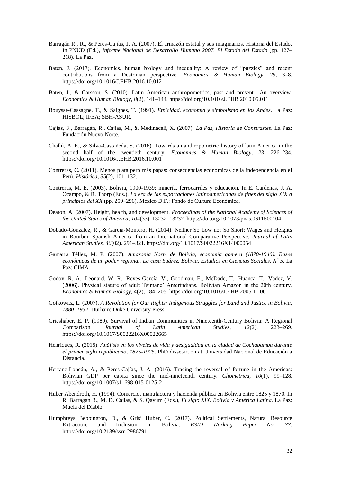- Barragán R., R., & Peres-Cajías, J. A. (2007). El armazón estatal y sus imaginarios. Historia del Estado. In PNUD (Ed.), *Informe Nacional de Desarrollo Humano 2007. El Estado del Estado* (pp. 127– 218). La Paz.
- Baten, J. (2017). Economics, human biology and inequality: A review of "puzzles" and recent contributions from a Deatonian perspective. *Economics & Human Biology*, *25*, 3–8. https://doi.org/10.1016/J.EHB.2016.10.012
- Baten, J., & Carsson, S. (2010). Latin American anthropometrics, past and present—An overview. *Economics & Human Biology*, *8*(2), 141–144. https://doi.org/10.1016/J.EHB.2010.05.011
- Bouysse-Cassagne, T., & Saignes, T. (1991). *Etnicidad, economía y simbolismo en los Andes*. La Paz: HISBOL; IFEA; SBH-ASUR.
- Cajías, F., Barragán, R., Cajías, M., & Medinaceli, X. (2007). *La Paz, Historia de Constrastes*. La Paz: Fundación Nuevo Norte.
- Challú, A. E., & Silva-Castañeda, S. (2016). Towards an anthropometric history of latin America in the second half of the twentieth century. *Economics & Human Biology*, *23*, 226–234. https://doi.org/10.1016/J.EHB.2016.10.001
- Contreras, C. (2011). Menos plata pero más papas: consecuencias económicas de la independencia en el Perú. *Histórica*, *35*(2), 101–132.
- Contreras, M. E. (2003). Bolivia, 1900-1939: minería, ferrocarriles y educación. In E. Cardenas, J. A. Ocampo, & R. Thorp (Eds.), *La era de las exportaciones latinoamericanas de fines del siglo XIX a principios del XX* (pp. 259–296). México D.F.: Fondo de Cultura Económica.
- Deaton, A. (2007). Height, health, and development. *Proceedings of the National Academy of Sciences of the United States of America*, *104*(33), 13232–13237. https://doi.org/10.1073/pnas.0611500104
- Dobado-González, R., & García-Montero, H. (2014). Neither So Low nor So Short: Wages and Heights in Bourbon Spanish America from an International Comparative Perspective. *Journal of Latin American Studies*, *46*(02), 291–321. https://doi.org/10.1017/S0022216X14000054
- Gamarra Téllez, M. P. (2007). *Amazonía Norte de Bolivia, economía gomera (1870-1940). Bases económicas de un poder regional. La casa Suárez. Bolivia, Estudios en Ciencias Sociales. N<sup>o</sup> 5.* La Paz: CIMA.
- Godoy, R. A., Leonard, W. R., Reyes-García, V., Goodman, E., McDade, T., Huanca, T., Vadez, V. (2006). Physical stature of adult Tsimane' Amerindians, Bolivian Amazon in the 20th century. *Economics & Human Biology*, *4*(2), 184–205. https://doi.org/10.1016/J.EHB.2005.11.001
- Gotkowitz, L. (2007). *A Revolution for Our Rights: Indigenous Struggles for Land and Justice in Bolivia, 1880–1952*. Durham: Duke University Press.
- Grieshaber, E. P. (1980). Survival of Indian Communities in Nineteenth-Century Bolivia: A Regional Comparison. *Journal of Latin American Studies*, *12*(2), 223–269. https://doi.org/10.1017/S0022216X00022665
- Henriques, R. (2015). *Análisis en los niveles de vida y desigualdad en la ciudad de Cochabamba durante el primer siglo republicano, 1825-1925*. PhD dissetartion at Universidad Nacional de Educación a Distancia.
- Herranz-Loncán, A., & Peres-Cajías, J. A. (2016). Tracing the reversal of fortune in the Americas: Bolivian GDP per capita since the mid-nineteenth century. *Cliometrica*, *10*(1), 99–128. https://doi.org/10.1007/s11698-015-0125-2
- Huber Abendroth, H. (1994). Comercio, manufactura y hacienda pública en Bolivia entre 1825 y 1870. In R. Barragan R., M. D. Cajias, & S. Qayum (Eds.), *El siglo XIX. Bolivia y América Latina*. La Paz: Muela del Diablo.
- Humphreys Bebbington, D., & Grisi Huber, C. (2017). Political Settlements, Natural Resource Extraction, and Inclusion in Bolivia. *ESID Working Paper No. 77*. https://doi.org/10.2139/ssrn.2986791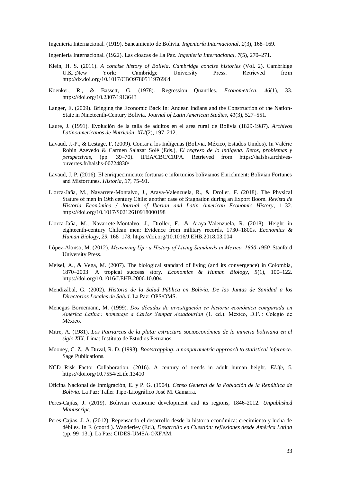Ingeniería Internacional. (1919). Saneamiento de Bolivia. *Ingeniería Internacional*, *2*(3), 168–169.

Ingeniería Internacional. (1922). Las cloacas de La Paz. *Ingeniería Internacional*, *7*(5), 270–271.

- Klein, H. S. (2011). *A concise history of Bolivia*. *Cambridge concise histories* (Vol. 2). Cambridge U.K. ;New York: Cambridge University Press. Retrieved from http://dx.doi.org/10.1017/CBO9780511976964
- Koenker, R., & Bassett, G. (1978). Regression Quantiles. *Econometrica*, *46*(1), 33. https://doi.org/10.2307/1913643
- Langer, E. (2009). Bringing the Economic Back In: Andean Indians and the Construction of the Nation-State in Nineteenth-Century Bolivia. *Journal of Latin American Studies*, *41*(3), 527–551.
- Laure, J. (1991). Evolución de la talla de adultos en el area rural de Bolivia (1829-1987). *Archivos Latinoamericanos de Nutrición*, *XLI*(2), 197–212.
- Lavaud, J.-P., & Lestage, F. (2009). Contar a los Indígenas (Bolivia, México, Estados Unidos). In Valérie Robin Azevedo & Carmen Salazar Solé (Eds.), *El regreso de lo indígena. Retos, problemas y perspectivas,* (pp. 39–70). IFEA/CBC/CRPA. Retrieved from https://halshs.archivesouvertes.fr/halshs-00724830/
- Lavaud, J. P. (2016). El enriquecimiento: fortunas e infortunios bolivianos Enrichment: Bolivian Fortunes and Misfortunes. *Historia*, *37*, 75–91.
- Llorca-Jaña, M., Navarrete-Montalvo, J., Araya-Valenzuela, R., & Droller, F. (2018). The Physical Stature of men in 19th century Chile: another case of Stagnation during an Export Boom. *Revista de Historia Económica / Journal of Iberian and Latin American Economic History*, 1–32. https://doi.org/10.1017/S0212610918000198
- Llorca-Jaña, M., Navarrete-Montalvo, J., Droller, F., & Araya-Valenzuela, R. (2018). Height in eighteenth-century Chilean men: Evidence from military records, 1730–1800s. *Economics & Human Biology*, *29*, 168–178. https://doi.org/10.1016/J.EHB.2018.03.004
- López-Alonso, M. (2012). *Measuring Up : a History of Living Standards in Mexico, 1850-1950.* Stanford University Press.
- Meisel, A., & Vega, M. (2007). The biological standard of living (and its convergence) in Colombia, 1870–2003: A tropical success story. *Economics & Human Biology*, *5*(1), 100–122. https://doi.org/10.1016/J.EHB.2006.10.004
- Mendizábal, G. (2002). *Historia de la Salud Pública en Bolivia. De las Juntas de Sanidad a los Directorios Locales de Salud*. La Paz: OPS/OMS.
- Menegus Bornemann, M. (1999). *Dos décadas de investigación en historia económica comparada en América Latina* : homenaje a Carlos Sempat Assadourian (1. ed.). México, D.F. : Colegio de México.
- Mitre, A. (1981). *Los Patriarcas de la plata: estructura socioeconómica de la mineria boliviana en el siglo XIX*. Lima: Instituto de Estudios Peruanos.
- Mooney, C. Z., & Duval, R. D. (1993). *Bootstrapping: a nonparametric approach to statistical inference*. Sage Publications.
- NCD Risk Factor Collaboration. (2016). A century of trends in adult human height. *ELife*, *5*. https://doi.org/10.7554/eLife.13410
- Oficina Nacional de Inmigración, E. y P. G. (1904). *Censo General de la Población de la República de Bolivia*. La Paz: Taller Tipo-Litográfico José M. Gamarra.
- Peres-Cajías, J. (2019). Bolivian economic development and its regions, 1846-2012. *Unpublished Manuscript*.
- Peres-Cajías, J. A. (2012). Repensando el desarrollo desde la historia económica: crecimiento y lucha de débiles. In F. (coord ). Wanderley (Ed.), *Desarrollo en Cuestiòn: reflexiones desde América Latina* (pp. 99–131). La Paz: CIDES-UMSA-OXFAM.